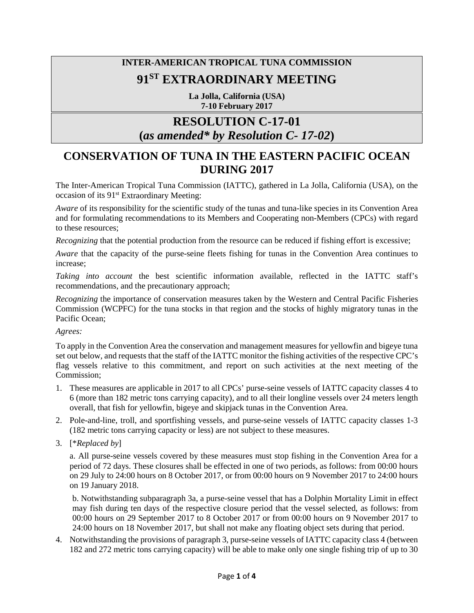## **INTER-AMERICAN TROPICAL TUNA COMMISSION 91ST EXTRAORDINARY MEETING**

**La Jolla, California (USA) 7-10 February 2017**

## **RESOLUTION C-17-01 (***as amended\* by Resolution C- 17-02***)**

## **CONSERVATION OF TUNA IN THE EASTERN PACIFIC OCEAN DURING 2017**

The Inter-American Tropical Tuna Commission (IATTC), gathered in La Jolla, California (USA), on the occasion of its 91<sup>st</sup> Extraordinary Meeting:

*Aware* of its responsibility for the scientific study of the tunas and tuna-like species in its Convention Area and for formulating recommendations to its Members and Cooperating non-Members (CPCs) with regard to these resources;

*Recognizing* that the potential production from the resource can be reduced if fishing effort is excessive;

*Aware* that the capacity of the purse-seine fleets fishing for tunas in the Convention Area continues to increase;

*Taking into account* the best scientific information available, reflected in the IATTC staff's recommendations, and the precautionary approach;

*Recognizing* the importance of conservation measures taken by the Western and Central Pacific Fisheries Commission (WCPFC) for the tuna stocks in that region and the stocks of highly migratory tunas in the Pacific Ocean;

*Agrees:*

To apply in the Convention Area the conservation and management measures for yellowfin and bigeye tuna set out below, and requests that the staff of the IATTC monitor the fishing activities of the respective CPC's flag vessels relative to this commitment, and report on such activities at the next meeting of the Commission;

- 1. These measures are applicable in 2017 to all CPCs' purse-seine vessels of IATTC capacity classes 4 to 6 (more than 182 metric tons carrying capacity), and to all their longline vessels over 24 meters length overall, that fish for yellowfin, bigeye and skipjack tunas in the Convention Area.
- 2. Pole-and-line, troll, and sportfishing vessels, and purse-seine vessels of IATTC capacity classes 1-3 (182 metric tons carrying capacity or less) are not subject to these measures.
- 3. [\**Replaced by*]

a. All purse-seine vessels covered by these measures must stop fishing in the Convention Area for a period of 72 days. These closures shall be effected in one of two periods, as follows: from 00:00 hours on 29 July to 24:00 hours on 8 October 2017, or from 00:00 hours on 9 November 2017 to 24:00 hours on 19 January 2018.

b. Notwithstanding subparagraph 3a, a purse-seine vessel that has a Dolphin Mortality Limit in effect may fish during ten days of the respective closure period that the vessel selected, as follows: from 00:00 hours on 29 September 2017 to 8 October 2017 or from 00:00 hours on 9 November 2017 to 24:00 hours on 18 November 2017, but shall not make any floating object sets during that period.

4. Notwithstanding the provisions of paragraph 3, purse-seine vessels of IATTC capacity class 4 (between 182 and 272 metric tons carrying capacity) will be able to make only one single fishing trip of up to 30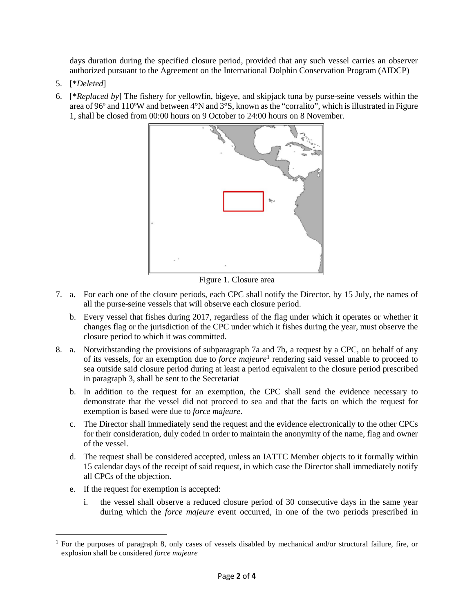days duration during the specified closure period, provided that any such vessel carries an observer authorized pursuant to the Agreement on the International Dolphin Conservation Program (AIDCP)

- 5. [\**Deleted*]
- 6. [\**Replaced by*] The fishery for yellowfin, bigeye, and skipjack tuna by purse-seine vessels within the area of 96º and 110ºW and between 4°N and 3°S, known as the "corralito", which is illustrated in Figure 1, shall be closed from 00:00 hours on 9 October to 24:00 hours on 8 November.



Figure 1. Closure area

- 7. a. For each one of the closure periods, each CPC shall notify the Director, by 15 July, the names of all the purse-seine vessels that will observe each closure period.
	- b. Every vessel that fishes during 2017, regardless of the flag under which it operates or whether it changes flag or the jurisdiction of the CPC under which it fishes during the year, must observe the closure period to which it was committed.
- 8. a. Notwithstanding the provisions of subparagraph 7a and 7b, a request by a CPC, on behalf of any of its vessels, for an exemption due to *force majeure*[1](#page-1-0) rendering said vessel unable to proceed to sea outside said closure period during at least a period equivalent to the closure period prescribed in paragraph 3, shall be sent to the Secretariat
	- b. In addition to the request for an exemption, the CPC shall send the evidence necessary to demonstrate that the vessel did not proceed to sea and that the facts on which the request for exemption is based were due to *force majeure*.
	- c. The Director shall immediately send the request and the evidence electronically to the other CPCs for their consideration, duly coded in order to maintain the anonymity of the name, flag and owner of the vessel.
	- d. The request shall be considered accepted, unless an IATTC Member objects to it formally within 15 calendar days of the receipt of said request, in which case the Director shall immediately notify all CPCs of the objection.
	- e. If the request for exemption is accepted:

 $\overline{\phantom{a}}$ 

i. the vessel shall observe a reduced closure period of 30 consecutive days in the same year during which the *force majeure* event occurred, in one of the two periods prescribed in

<span id="page-1-0"></span><sup>&</sup>lt;sup>1</sup> For the purposes of paragraph 8, only cases of vessels disabled by mechanical and/or structural failure, fire, or explosion shall be considered *force majeure*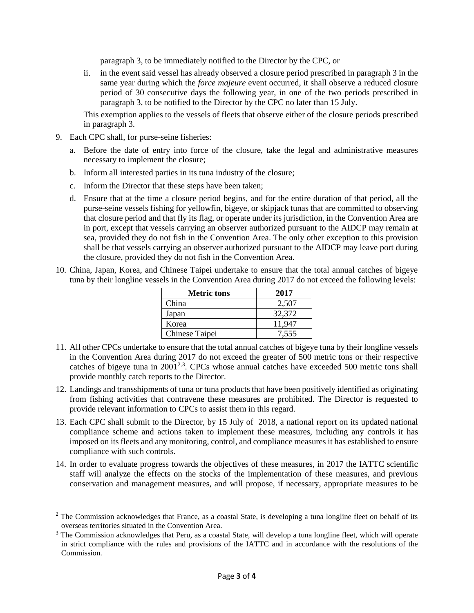paragraph 3, to be immediately notified to the Director by the CPC, or

ii. in the event said vessel has already observed a closure period prescribed in paragraph 3 in the same year during which the *force majeure* event occurred, it shall observe a reduced closure period of 30 consecutive days the following year, in one of the two periods prescribed in paragraph 3, to be notified to the Director by the CPC no later than 15 July.

This exemption applies to the vessels of fleets that observe either of the closure periods prescribed in paragraph 3.

9. Each CPC shall, for purse-seine fisheries:

 $\overline{\phantom{a}}$ 

- a. Before the date of entry into force of the closure, take the legal and administrative measures necessary to implement the closure;
- b. Inform all interested parties in its tuna industry of the closure;
- c. Inform the Director that these steps have been taken;
- d. Ensure that at the time a closure period begins, and for the entire duration of that period, all the purse-seine vessels fishing for yellowfin, bigeye, or skipjack tunas that are committed to observing that closure period and that fly its flag, or operate under its jurisdiction, in the Convention Area are in port, except that vessels carrying an observer authorized pursuant to the AIDCP may remain at sea, provided they do not fish in the Convention Area. The only other exception to this provision shall be that vessels carrying an observer authorized pursuant to the AIDCP may leave port during the closure, provided they do not fish in the Convention Area.
- 10. China, Japan, Korea, and Chinese Taipei undertake to ensure that the total annual catches of bigeye tuna by their longline vessels in the Convention Area during 2017 do not exceed the following levels:

| <b>Metric tons</b> | 2017   |
|--------------------|--------|
| China              | 2,507  |
| Japan              | 32,372 |
| Korea              | 11,947 |
| Chinese Taipei     | 7,555  |

- 11. All other CPCs undertake to ensure that the total annual catches of bigeye tuna by their longline vessels in the Convention Area during 2017 do not exceed the greater of 500 metric tons or their respective catches of bigeye tuna in [2](#page-2-0)001<sup>2,[3](#page-2-1)</sup>. CPCs whose annual catches have exceeded 500 metric tons shall provide monthly catch reports to the Director.
- 12. Landings and transshipments of tuna or tuna products that have been positively identified as originating from fishing activities that contravene these measures are prohibited. The Director is requested to provide relevant information to CPCs to assist them in this regard.
- 13. Each CPC shall submit to the Director, by 15 July of 2018, a national report on its updated national compliance scheme and actions taken to implement these measures, including any controls it has imposed on its fleets and any monitoring, control, and compliance measures it has established to ensure compliance with such controls.
- 14. In order to evaluate progress towards the objectives of these measures, in 2017 the IATTC scientific staff will analyze the effects on the stocks of the implementation of these measures, and previous conservation and management measures, and will propose, if necessary, appropriate measures to be

<span id="page-2-0"></span><sup>&</sup>lt;sup>2</sup> The Commission acknowledges that France, as a coastal State, is developing a tuna longline fleet on behalf of its overseas territories situated in the Convention Area.

<span id="page-2-1"></span><sup>&</sup>lt;sup>3</sup> The Commission acknowledges that Peru, as a coastal State, will develop a tuna longline fleet, which will operate in strict compliance with the rules and provisions of the IATTC and in accordance with the resolutions of the Commission.